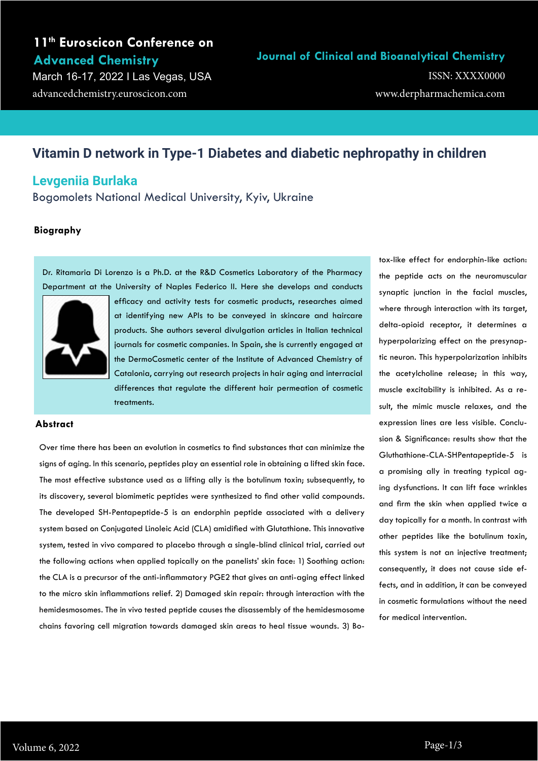# **11th Euroscicon Conference on Advanced Chemistry**

March 16-17, 2022 I Las Vegas, USA advancedchemistry.euroscicon.com

### **Journal of Clinical and Bioanalytical Chemistry**

www.derpharmachemica.com ISSN: XXXX0000

# **Vitamin D network in Type-1 Diabetes and diabetic nephropathy in children**

## **Levgeniia Burlaka**

Bogomolets National Medical University, Kyiv, Ukraine

### **Biography**

Dr. Ritamaria Di Lorenzo is a Ph.D. at the R&D Cosmetics Laboratory of the Pharmacy Department at the University of Naples Federico II. Here she develops and conducts



efficacy and activity tests for cosmetic products, researches aimed at identifying new APIs to be conveyed in skincare and haircare products. She authors several divulgation articles in Italian technical journals for cosmetic companies. In Spain, she is currently engaged at the DermoCosmetic center of the Institute of Advanced Chemistry of Catalonia, carrying out research projects in hair aging and interracial differences that regulate the different hair permeation of cosmetic treatments.

#### **Abstract**

Over time there has been an evolution in cosmetics to find substances that can minimize the signs of aging. In this scenario, peptides play an essential role in obtaining a lifted skin face. The most effective substance used as a lifting ally is the botulinum toxin; subsequently, to its discovery, several biomimetic peptides were synthesized to find other valid compounds. The developed SH-Pentapeptide-5 is an endorphin peptide associated with a delivery system based on Conjugated Linoleic Acid (CLA) amidified with Glutathione. This innovative system, tested in vivo compared to placebo through a single-blind clinical trial, carried out the following actions when applied topically on the panelists' skin face: 1) Soothing action: the CLA is a precursor of the anti-inflammatory PGE2 that gives an anti-aging effect linked to the micro skin inflammations relief. 2) Damaged skin repair: through interaction with the hemidesmosomes. The in vivo tested peptide causes the disassembly of the hemidesmosome chains favoring cell migration towards damaged skin areas to heal tissue wounds. 3) Botox-like effect for endorphin-like action: the peptide acts on the neuromuscular synaptic junction in the facial muscles, where through interaction with its target, delta-opioid receptor, it determines a hyperpolarizing effect on the presynaptic neuron. This hyperpolarization inhibits the acetylcholine release; in this way, muscle excitability is inhibited. As a result, the mimic muscle relaxes, and the expression lines are less visible. Conclusion & Significance: results show that the Gluthathione-CLA-SHPentapeptide-5 is a promising ally in treating typical aging dysfunctions. It can lift face wrinkles and firm the skin when applied twice a day topically for a month. In contrast with other peptides like the botulinum toxin, this system is not an injective treatment; consequently, it does not cause side effects, and in addition, it can be conveyed in cosmetic formulations without the need for medical intervention.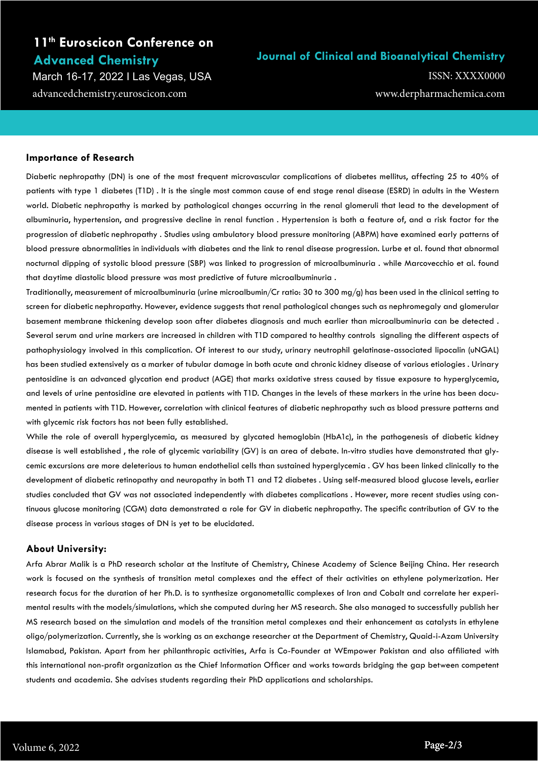# **11th Euroscicon Conference on Advanced Chemistry**

March 16-17, 2022 I Las Vegas, USA advancedchemistry.euroscicon.com

## **Journal of Clinical and Bioanalytical Chemistry**

www.derpharmachemica.com ISSN: XXXX0000

### **Importance of Research**

Diabetic nephropathy (DN) is one of the most frequent microvascular complications of diabetes mellitus, affecting 25 to 40% of patients with type 1 diabetes (T1D) . It is the single most common cause of end stage renal disease (ESRD) in adults in the Western world. Diabetic nephropathy is marked by pathological changes occurring in the renal glomeruli that lead to the development of albuminuria, hypertension, and progressive decline in renal function . Hypertension is both a feature of, and a risk factor for the progression of diabetic nephropathy . Studies using ambulatory blood pressure monitoring (ABPM) have examined early patterns of blood pressure abnormalities in individuals with diabetes and the link to renal disease progression. Lurbe et al. found that abnormal nocturnal dipping of systolic blood pressure (SBP) was linked to progression of microalbuminuria . while Marcovecchio et al. found that daytime diastolic blood pressure was most predictive of future microalbuminuria .

Traditionally, measurement of microalbuminuria (urine microalbumin/Cr ratio: 30 to 300 mg/g) has been used in the clinical setting to screen for diabetic nephropathy. However, evidence suggests that renal pathological changes such as nephromegaly and glomerular basement membrane thickening develop soon after diabetes diagnosis and much earlier than microalbuminuria can be detected . Several serum and urine markers are increased in children with T1D compared to healthy controls signaling the different aspects of pathophysiology involved in this complication. Of interest to our study, urinary neutrophil gelatinase-associated lipocalin (uNGAL) has been studied extensively as a marker of tubular damage in both acute and chronic kidney disease of various etiologies . Urinary pentosidine is an advanced glycation end product (AGE) that marks oxidative stress caused by tissue exposure to hyperglycemia, and levels of urine pentosidine are elevated in patients with T1D. Changes in the levels of these markers in the urine has been documented in patients with T1D. However, correlation with clinical features of diabetic nephropathy such as blood pressure patterns and with glycemic risk factors has not been fully established.

While the role of overall hyperglycemia, as measured by glycated hemoglobin (HbA1c), in the pathogenesis of diabetic kidney disease is well established , the role of glycemic variability (GV) is an area of debate. In-vitro studies have demonstrated that glycemic excursions are more deleterious to human endothelial cells than sustained hyperglycemia . GV has been linked clinically to the development of diabetic retinopathy and neuropathy in both T1 and T2 diabetes . Using self-measured blood glucose levels, earlier studies concluded that GV was not associated independently with diabetes complications . However, more recent studies using continuous glucose monitoring (CGM) data demonstrated a role for GV in diabetic nephropathy. The specific contribution of GV to the disease process in various stages of DN is yet to be elucidated.

### **About University:**

Arfa Abrar Malik is a PhD research scholar at the Institute of Chemistry, Chinese Academy of Science Beijing China. Her research work is focused on the synthesis of transition metal complexes and the effect of their activities on ethylene polymerization. Her research focus for the duration of her Ph.D. is to synthesize organometallic complexes of Iron and Cobalt and correlate her experimental results with the models/simulations, which she computed during her MS research. She also managed to successfully publish her MS research based on the simulation and models of the transition metal complexes and their enhancement as catalysts in ethylene oligo/polymerization. Currently, she is working as an exchange researcher at the Department of Chemistry, Quaid-i-Azam University Islamabad, Pakistan. Apart from her philanthropic activities, Arfa is Co-Founder at WEmpower Pakistan and also affiliated with this international non-profit organization as the Chief Information Officer and works towards bridging the gap between competent students and academia. She advises students regarding their PhD applications and scholarships.